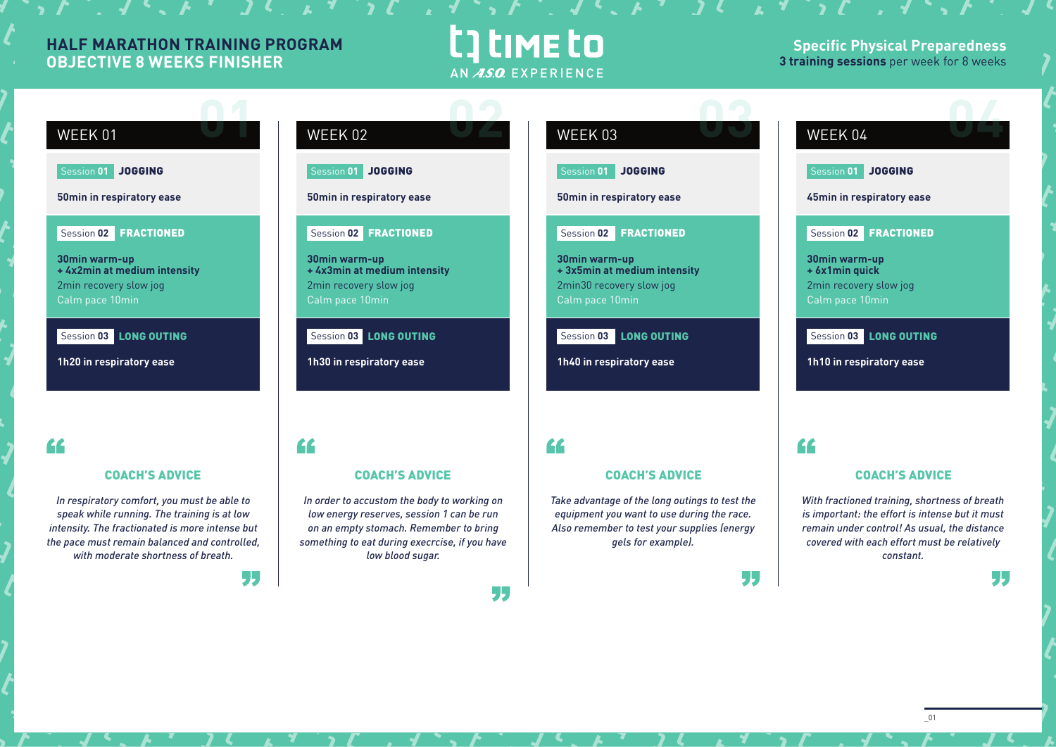### **HALF MARATHON TRAINING PROGRAM OBJECTIVE 8 WEEKS FINISHER**

## t] time to AN ASO EXPERIENCE

**Specific Physical Preparedness 3 training sessions** per week for 8 weeks



\_01

## Session **02** FRACTIONED

**WEEK 01** 

**30min warm-up + 4x2min at medium intensity** 2min recovery slow jog Calm pace 10min

Session **03** LONG OUTING

Session **01** JOGGING

**50min in respiratory ease**

**1h20 in respiratory ease**

### "

### COACH'S ADVICE

*In respiratory comfort, you must be able to speak while running. The training is at low intensity. The fractionated is more intense but the pace must remain balanced and controlled, with moderate shortness of breath.*

55

"

# **WEEK 02**

Session **01** JOGGING

### **50min in respiratory ease**

Session **02** FRACTIONED

**30min warm-up + 4x3min at medium intensity** 2min recovery slow jog Calm pace 10min

Session **03** LONG OUTING

**1h30 in respiratory ease**

*In order to accustom the body to working on low energy reserves, session 1 can be run on an empty stomach. Remember to bring something to eat during execrcise, if you have low blood sugar.*

COACH'S ADVICE

55

55

77